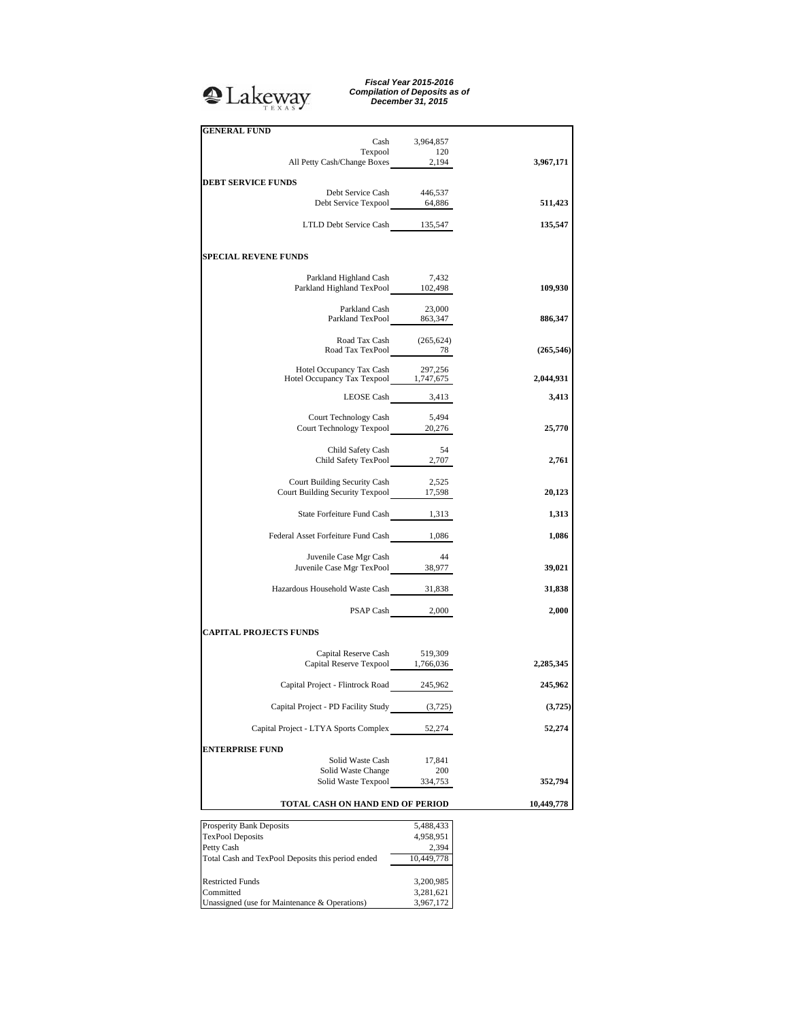## **Q**Lakeway

*Fiscal Year 2015-2016 Compilation of Deposits as of December 31, 2015*

| <b>GENERAL FUND</b>                                                       | Cash 3,964,857  |            |
|---------------------------------------------------------------------------|-----------------|------------|
| Texpool                                                                   | 120             |            |
| All Petty Cash/Change Boxes 2,194                                         |                 | 3,967,171  |
| <b>DEBT SERVICE FUNDS</b>                                                 |                 |            |
|                                                                           |                 |            |
| Debt Service Cash 446,537<br>Debt Service Texpool 64,886                  |                 | 511,423    |
| LTLD Debt Service Cash 135,547                                            |                 | 135,547    |
|                                                                           |                 |            |
| <b>SPECIAL REVENE FUNDS</b>                                               |                 |            |
|                                                                           |                 |            |
| Parkland Highland Cash 7,432<br>Parkland Highland TexPool 102,498         |                 | 109,930    |
|                                                                           |                 |            |
| Parkland Cash 23,000<br>Parkland TexPool 863,347                          |                 | 886,347    |
|                                                                           |                 |            |
| Road Tax Cash (265,624)<br>Road Tax TexPool 78                            |                 | (265, 546) |
|                                                                           |                 |            |
| Hotel Occupancy Tax Cash 297,256<br>Hotel Occupancy Tax Texpool 1,747,675 | 297,256         | 2,044,931  |
|                                                                           |                 |            |
| LEOSE Cash $3,413$                                                        |                 | 3,413      |
|                                                                           |                 |            |
| Court Technology Cash 5,494<br>Court Technology Texpool 20,276            |                 | 25,770     |
|                                                                           |                 |            |
| Child Safety Cash 54<br>Child Safety TexPool 2,707                        |                 | 2,761      |
|                                                                           |                 |            |
| Court Building Security Cash                                              | 2,525           |            |
| Court Building Security Texpool 17,598                                    |                 | 20,123     |
| State Forfeiture Fund Cash 1,313                                          |                 | 1,313      |
|                                                                           |                 |            |
| Federal Asset Forfeiture Fund Cash 1,086                                  |                 | 1,086      |
| Juvenile Case Mgr Cash                                                    | - 44            |            |
| Juvenile Case Mgr Cash<br>Juvenile Case Mgr TexPool 38,977                |                 | 39,021     |
|                                                                           |                 |            |
| Hazardous Household Waste Cash 31,838                                     |                 | 31,838     |
|                                                                           | PSAP Cash 2,000 | 2,000      |
| <b>CAPITAL PROJECTS FUNDS</b>                                             |                 |            |
| Capital Reserve Cash 519,309                                              |                 |            |
| Capital Reserve Texpool 1,766,036                                         |                 | 2,285,345  |
| Capital Project - Flintrock Road 245,962                                  |                 | 245,962    |
|                                                                           |                 |            |
| Capital Project - PD Facility Study                                       | (3,725)         | (3, 725)   |
| Capital Project - LTYA Sports Complex                                     | 52,274          | 52,274     |
|                                                                           |                 |            |
| <b>ENTERPRISE FUND</b>                                                    |                 |            |
| Solid Waste Cash<br>Solid Waste Change                                    | 17,841<br>200   |            |
| Solid Waste Texpool                                                       | 334,753         | 352,794    |
|                                                                           |                 |            |
| TOTAL CASH ON HAND END OF PERIOD                                          |                 | 10,449,778 |
| Prosperity Bank Deposits                                                  | 5,488,433       |            |
| <b>TexPool Deposits</b>                                                   | 4,958,951       |            |
| Petty Cash                                                                | 2,394           |            |
| Total Cash and TexPool Deposits this period ended                         | 10,449,778      |            |
| <b>Restricted Funds</b>                                                   | 3,200,985       |            |
| Committed                                                                 | 3,281,621       |            |
| Unassigned (use for Maintenance & Operations)                             | 3,967,172       |            |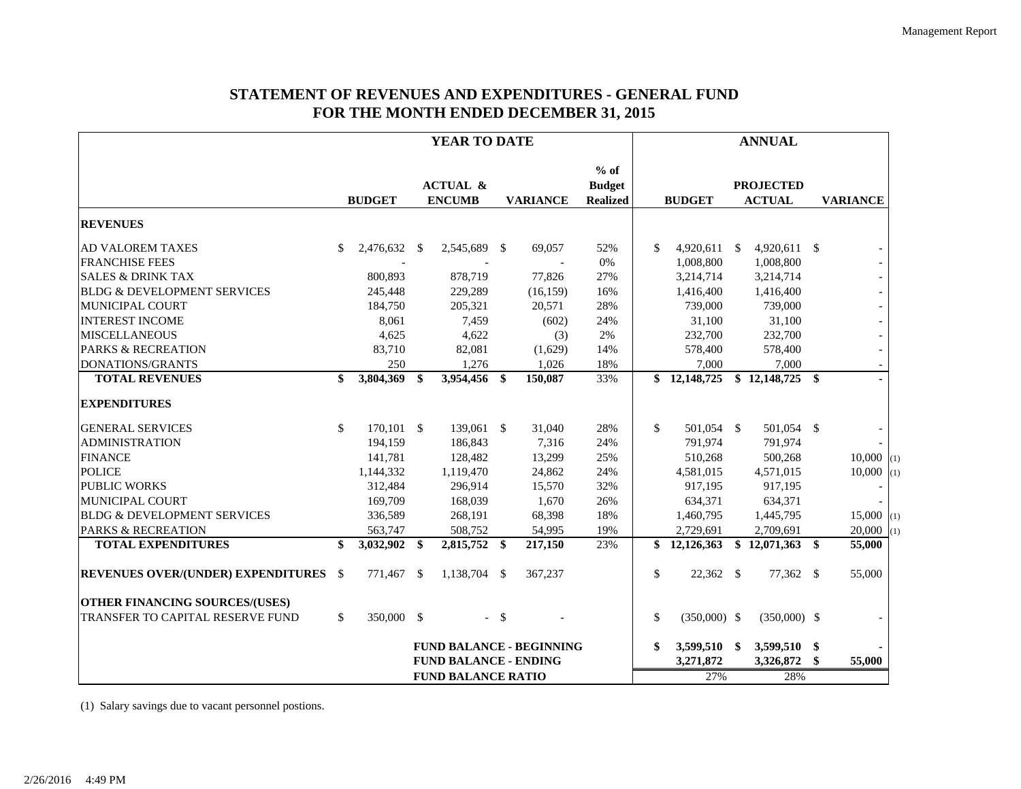## **STATEMENT OF REVENUES AND EXPENDITURES - GENERAL FUND FOR THE MONTH ENDED DECEMBER 31, 2015**

|                                              | YEAR TO DATE |               |    | <b>ANNUAL</b>                        |        |                                 |                                            |               |                |  |                                   |              |                          |
|----------------------------------------------|--------------|---------------|----|--------------------------------------|--------|---------------------------------|--------------------------------------------|---------------|----------------|--|-----------------------------------|--------------|--------------------------|
|                                              |              | <b>BUDGET</b> |    | <b>ACTUAL &amp;</b><br><b>ENCUMB</b> |        | <b>VARIANCE</b>                 | $%$ of<br><b>Budget</b><br><b>Realized</b> |               | <b>BUDGET</b>  |  | <b>PROJECTED</b><br><b>ACTUAL</b> |              | <b>VARIANCE</b>          |
| <b>REVENUES</b>                              |              |               |    |                                      |        |                                 |                                            |               |                |  |                                   |              |                          |
| <b>AD VALOREM TAXES</b>                      | \$           | 2,476,632 \$  |    | 2,545,689 \$                         |        | 69,057                          | 52%                                        | $\mathcal{S}$ | $4,920,611$ \$ |  | $4,920,611$ \$                    |              |                          |
| <b>FRANCHISE FEES</b>                        |              |               |    |                                      |        |                                 | 0%                                         |               | 1,008,800      |  | 1,008,800                         |              |                          |
| <b>SALES &amp; DRINK TAX</b>                 |              | 800,893       |    | 878,719                              |        | 77,826                          | 27%                                        |               | 3,214,714      |  | 3,214,714                         |              |                          |
| <b>BLDG &amp; DEVELOPMENT SERVICES</b>       |              | 245,448       |    | 229,289                              |        | (16, 159)                       | 16%                                        |               | 1,416,400      |  | 1,416,400                         |              |                          |
| MUNICIPAL COURT                              |              | 184,750       |    | 205,321                              |        | 20,571                          | 28%                                        |               | 739,000        |  | 739,000                           |              |                          |
| <b>INTEREST INCOME</b>                       |              | 8,061         |    | 7,459                                |        | (602)                           | 24%                                        |               | 31,100         |  | 31,100                            |              |                          |
| <b>MISCELLANEOUS</b>                         |              | 4,625         |    | 4,622                                |        | (3)                             | 2%                                         |               | 232,700        |  | 232,700                           |              |                          |
| <b>PARKS &amp; RECREATION</b>                |              | 83,710        |    | 82,081                               |        | (1,629)                         | 14%                                        |               | 578,400        |  | 578,400                           |              | $\overline{\phantom{a}}$ |
| DONATIONS/GRANTS                             |              | 250           |    | 1,276                                |        | 1,026                           | 18%                                        |               | 7,000          |  | 7,000                             |              |                          |
| <b>TOTAL REVENUES</b>                        | \$           | 3,804,369     | \$ | 3,954,456 \$                         |        | 150,087                         | 33%                                        | \$            | 12,148,725     |  | \$12,148,725                      | $\mathbf{s}$ |                          |
| <b>EXPENDITURES</b>                          |              |               |    |                                      |        |                                 |                                            |               |                |  |                                   |              |                          |
| <b>GENERAL SERVICES</b>                      | \$           | $170,101$ \$  |    | 139,061 \$                           |        | 31,040                          | 28%                                        | $\mathcal{S}$ | 501,054 \$     |  | 501,054 \$                        |              |                          |
| <b>ADMINISTRATION</b>                        |              | 194,159       |    | 186,843                              |        | 7,316                           | 24%                                        |               | 791,974        |  | 791,974                           |              |                          |
| <b>FINANCE</b>                               |              | 141,781       |    | 128,482                              |        | 13,299                          | 25%                                        |               | 510,268        |  | 500,268                           |              | $10,000$ (1)             |
| <b>POLICE</b>                                |              | 1,144,332     |    | 1,119,470                            |        | 24,862                          | 24%                                        |               | 4,581,015      |  | 4,571,015                         |              | $10,000$ (1)             |
| <b>PUBLIC WORKS</b>                          |              | 312,484       |    | 296,914                              |        | 15,570                          | 32%                                        |               | 917,195        |  | 917,195                           |              |                          |
| MUNICIPAL COURT                              |              | 169,709       |    | 168,039                              |        | 1,670                           | 26%                                        |               | 634,371        |  | 634,371                           |              |                          |
| <b>BLDG &amp; DEVELOPMENT SERVICES</b>       |              | 336,589       |    | 268,191                              |        | 68,398                          | 18%                                        |               | 1,460,795      |  | 1,445,795                         |              | $15,000$ (1)             |
| <b>PARKS &amp; RECREATION</b>                |              | 563,747       |    | 508,752                              |        | 54,995                          | 19%                                        |               | 2,729,691      |  | 2,709,691                         |              | $20,000$ (1)             |
| <b>TOTAL EXPENDITURES</b>                    | \$           | 3,032,902     | \$ | 2,815,752 \$                         |        | 217,150                         | 23%                                        | \$            | 12,126,363     |  | \$12,071,363                      | \$           | 55,000                   |
| <b>REVENUES OVER/(UNDER) EXPENDITURES</b> \$ |              | 771,467       | \$ | 1,138,704 \$                         |        | 367,237                         |                                            | \$            | $22,362$ \$    |  | 77,362 \$                         |              | 55,000                   |
| <b>OTHER FINANCING SOURCES/(USES)</b>        |              |               |    |                                      |        |                                 |                                            |               |                |  |                                   |              |                          |
| TRANSFER TO CAPITAL RESERVE FUND             | \$           | 350,000 \$    |    |                                      | $-$ \$ |                                 |                                            | \$            | $(350,000)$ \$ |  | $(350,000)$ \$                    |              |                          |
|                                              |              |               |    |                                      |        | <b>FUND BALANCE - BEGINNING</b> |                                            | \$            | 3,599,510 \$   |  | 3,599,510                         | \$           |                          |
|                                              |              |               |    | <b>FUND BALANCE - ENDING</b>         |        |                                 |                                            |               | 3,271,872      |  | 3,326,872                         | \$.          | 55,000                   |
|                                              |              |               |    | <b>FUND BALANCE RATIO</b>            |        |                                 |                                            |               | 27%            |  | 28%                               |              |                          |

(1) Salary savings due to vacant personnel postions.